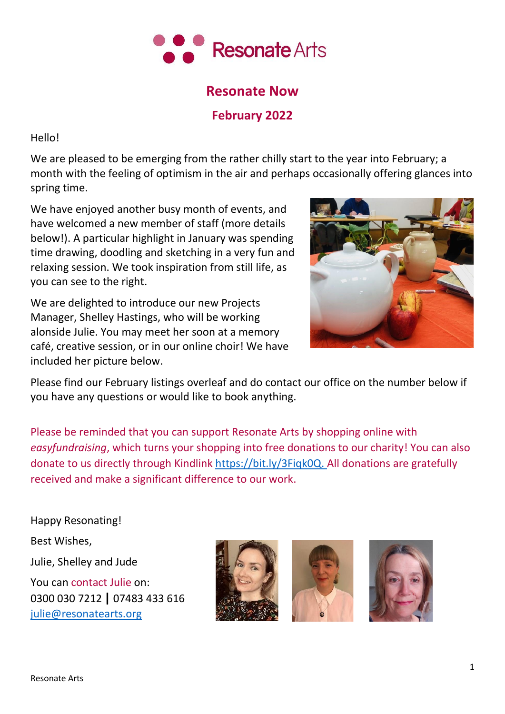

# **Resonate Now**

# **February 2022**

Hello!

We are pleased to be emerging from the rather chilly start to the year into February; a month with the feeling of optimism in the air and perhaps occasionally offering glances into spring time.

We have enjoyed another busy month of events, and have welcomed a new member of staff (more details below!). A particular highlight in January was spending time drawing, doodling and sketching in a very fun and relaxing session. We took inspiration from still life, as you can see to the right.

We are delighted to introduce our new Projects Manager, Shelley Hastings, who will be working alonside Julie. You may meet her soon at a memory café, creative session, or in our online choir! We have included her picture below.



Please find our February listings overleaf and do contact our office on the number below if you have any questions or would like to book anything.

Please be reminded that you can support Resonate Arts by shopping online with *easyfundraising*, which turns your shopping into free donations to our charity! You can also donate to us directly through Kindlink [https://bit.ly/3Fiqk0Q.](https://bit.ly/3Fiqk0Q) All donations are gratefully received and make a significant difference to our work.

Happy Resonating! Best Wishes, Julie, Shelley and Jude You can contact Julie on: 0300 030 7212 **|** 07483 433 616 [julie@resonatearts.org](mailto:julie@resonatearts.org)